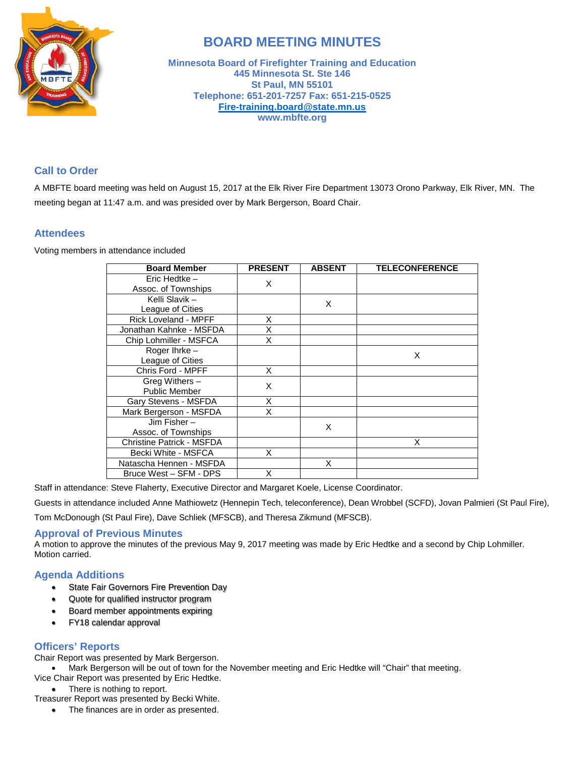

# **BOARD MEETING MINUTES**

**Minnesota Board of Firefighter Training and Education 445 Minnesota St. Ste 146 St Paul, MN 55101 Telephone: 651-201-7257 Fax: 651-215-0525 [Fire-training.board@state.mn.us](mailto:Fire-training.board@state.mn.us) www.mbfte.org**

# **Call to Order**

A MBFTE board meeting was held on August 15, 2017 at the Elk River Fire Department 13073 Orono Parkway, Elk River, MN. The meeting began at 11:47 a.m. and was presided over by Mark Bergerson, Board Chair.

## **Attendees**

Voting members in attendance included

| <b>Board Member</b>                    | <b>PRESENT</b> | <b>ABSENT</b> | <b>TELECONFERENCE</b> |
|----------------------------------------|----------------|---------------|-----------------------|
| Eric Hedtke -<br>Assoc. of Townships   | X              |               |                       |
| Kelli Slavik -<br>League of Cities     |                | X             |                       |
| <b>Rick Loveland - MPFF</b>            | X              |               |                       |
| Jonathan Kahnke - MSFDA                | X              |               |                       |
| Chip Lohmiller - MSFCA                 | X              |               |                       |
| Roger Ihrke-<br>League of Cities       |                |               | X                     |
| Chris Ford - MPFF                      | X              |               |                       |
| Greg Withers -<br><b>Public Member</b> | X              |               |                       |
| Gary Stevens - MSFDA                   | X              |               |                       |
| Mark Bergerson - MSFDA                 | X              |               |                       |
| Jim Fisher $-$<br>Assoc. of Townships  |                | X             |                       |
| <b>Christine Patrick - MSFDA</b>       |                |               | X                     |
| Becki White - MSFCA                    | X              |               |                       |
| Natascha Hennen - MSFDA                |                | X             |                       |
| Bruce West - SFM - DPS                 | X              |               |                       |

Staff in attendance: Steve Flaherty, Executive Director and Margaret Koele, License Coordinator.

Guests in attendance included Anne Mathiowetz (Hennepin Tech, teleconference), Dean Wrobbel (SCFD), Jovan Palmieri (St Paul Fire),

Tom McDonough (St Paul Fire), Dave Schliek (MFSCB), and Theresa Zikmund (MFSCB).

#### **Approval of Previous Minutes**

A motion to approve the minutes of the previous May 9, 2017 meeting was made by Eric Hedtke and a second by Chip Lohmiller. Motion carried.

# **Agenda Additions**

- State Fair Governors Fire Prevention Day
- Quote for qualified instructor program
- Board member appointments expiring
- FY18 calendar approval

## **Officers' Reports**

Chair Report was presented by Mark Bergerson.

- Mark Bergerson will be out of town for the November meeting and Eric Hedtke will "Chair" that meeting.
- Vice Chair Report was presented by Eric Hedtke.
- There is nothing to report.

Treasurer Report was presented by Becki White.

• The finances are in order as presented.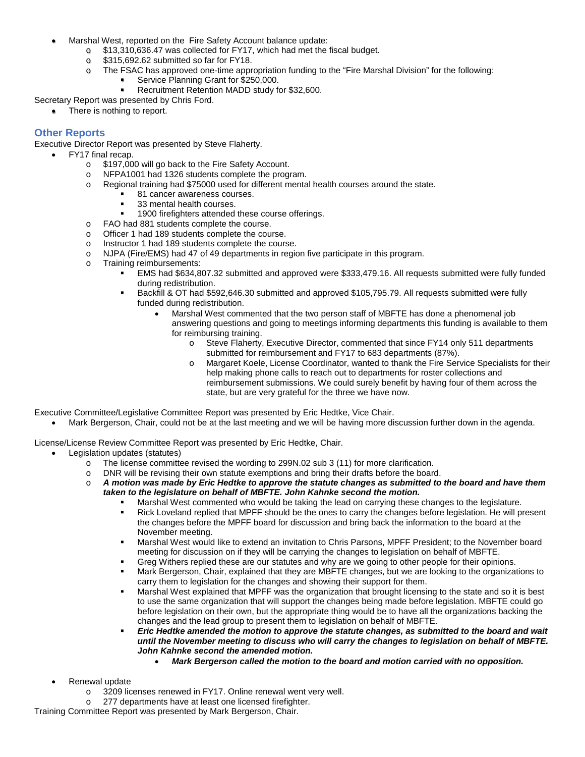- Marshal West, reported on the Fire Safety Account balance update:
	- o \$13,310,636.47 was collected for FY17, which had met the fiscal budget.<br>o \$315,692.62 submitted so far for FY18.
	- \$315,692.62 submitted so far for FY18.
	- o The FSAC has approved one-time appropriation funding to the "Fire Marshal Division" for the following:
		- Service Planning Grant for \$250,000.
			- Recruitment Retention MADD study for \$32,600.

Secretary Report was presented by Chris Ford.

There is nothing to report.

# **Other Reports**

Executive Director Report was presented by Steve Flaherty.

- FY17 final recap.
	- o \$197,000 will go back to the Fire Safety Account.<br>o NFPA1001 had 1326 students complete the prog
	- $\circ$  NFPA1001 had 1326 students complete the program.<br> $\circ$  Regional training had \$75000 used for different menta
	- Regional training had \$75000 used for different mental health courses around the state.
		- 81 cancer awareness courses.
		- 33 mental health courses.
		- 1900 firefighters attended these course offerings.
	- $\circ$  FAO had 881 students complete the course.<br>  $\circ$  Officer 1 had 189 students complete the cour
	- Officer 1 had 189 students complete the course.
	- o Instructor 1 had 189 students complete the course.
	- o NJPA (Fire/EMS) had 47 of 49 departments in region five participate in this program.
	- o Training reimbursements:
		- EMS had \$634,807.32 submitted and approved were \$333,479.16. All requests submitted were fully funded during redistribution.
		- Backfill & OT had \$592,646.30 submitted and approved \$105,795.79. All requests submitted were fully funded during redistribution.
			- Marshal West commented that the two person staff of MBFTE has done a phenomenal job answering questions and going to meetings informing departments this funding is available to them for reimbursing training.
				- o Steve Flaherty, Executive Director, commented that since FY14 only 511 departments submitted for reimbursement and FY17 to 683 departments (87%).
				- o Margaret Koele, License Coordinator, wanted to thank the Fire Service Specialists for their help making phone calls to reach out to departments for roster collections and reimbursement submissions. We could surely benefit by having four of them across the state, but are very grateful for the three we have now.

Executive Committee/Legislative Committee Report was presented by Eric Hedtke, Vice Chair.

• Mark Bergerson, Chair, could not be at the last meeting and we will be having more discussion further down in the agenda.

License/License Review Committee Report was presented by Eric Hedtke, Chair.

- Legislation updates (statutes)
	- o The license committee revised the wording to 299N.02 sub 3 (11) for more clarification.
	- o DNR will be revising their own statute exemptions and bring their drafts before the board.
	- o *A motion was made by Eric Hedtke to approve the statute changes as submitted to the board and have them taken to the legislature on behalf of MBFTE. John Kahnke second the motion.* 
		- Marshal West commented who would be taking the lead on carrying these changes to the legislature.
		- Rick Loveland replied that MPFF should be the ones to carry the changes before legislation. He will present the changes before the MPFF board for discussion and bring back the information to the board at the November meeting.
		- Marshal West would like to extend an invitation to Chris Parsons, MPFF President; to the November board meeting for discussion on if they will be carrying the changes to legislation on behalf of MBFTE.
		- Greg Withers replied these are our statutes and why are we going to other people for their opinions.
		- Mark Bergerson, Chair, explained that they are MBFTE changes, but we are looking to the organizations to carry them to legislation for the changes and showing their support for them.
		- Marshal West explained that MPFF was the organization that brought licensing to the state and so it is best to use the same organization that will support the changes being made before legislation. MBFTE could go before legislation on their own, but the appropriate thing would be to have all the organizations backing the changes and the lead group to present them to legislation on behalf of MBFTE.
		- **Eric Hedtke amended the motion to approve the statute changes, as submitted to the board and wait** *until the November meeting to discuss who will carry the changes to legislation on behalf of MBFTE. John Kahnke second the amended motion.* 
			- *Mark Bergerson called the motion to the board and motion carried with no opposition.*

Renewal update

- o 3209 licenses renewed in FY17. Online renewal went very well.
- o 277 departments have at least one licensed firefighter.

Training Committee Report was presented by Mark Bergerson, Chair.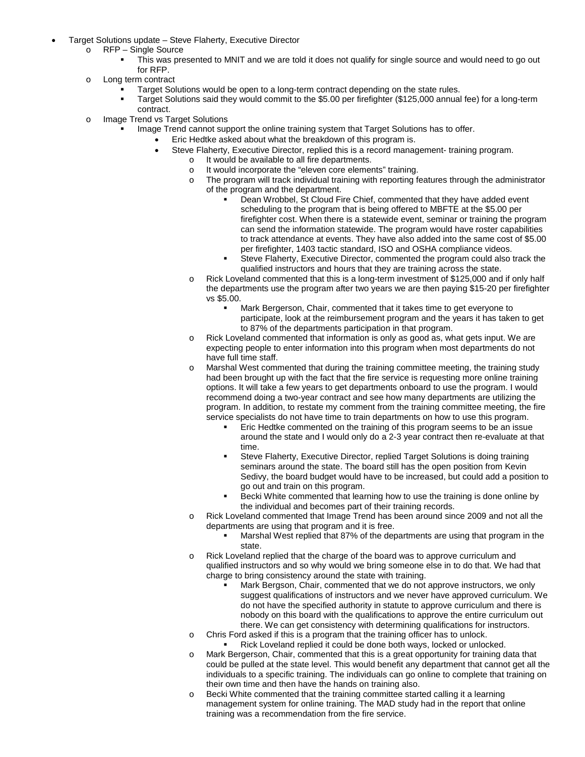- Target Solutions update Steve Flaherty, Executive Director
	- o RFP Single Source
		- This was presented to MNIT and we are told it does not qualify for single source and would need to go out for RFP.
	- o Long term contract
		- Target Solutions would be open to a long-term contract depending on the state rules.
		- Target Solutions said they would commit to the \$5.00 per firefighter (\$125,000 annual fee) for a long-term contract.
	- o Image Trend vs Target Solutions
		- Image Trend cannot support the online training system that Target Solutions has to offer.
			- Eric Hedtke asked about what the breakdown of this program is.
			- Steve Flaherty, Executive Director, replied this is a record management- training program.
				- o It would be available to all fire departments.
				- o It would incorporate the "eleven core elements" training.
				- o The program will track individual training with reporting features through the administrator of the program and the department.
					- Dean Wrobbel, St Cloud Fire Chief, commented that they have added event scheduling to the program that is being offered to MBFTE at the \$5.00 per firefighter cost. When there is a statewide event, seminar or training the program can send the information statewide. The program would have roster capabilities to track attendance at events. They have also added into the same cost of \$5.00 per firefighter, 1403 tactic standard, ISO and OSHA compliance videos.
					- Steve Flaherty, Executive Director, commented the program could also track the qualified instructors and hours that they are training across the state.
				- o Rick Loveland commented that this is a long-term investment of \$125,000 and if only half the departments use the program after two years we are then paying \$15-20 per firefighter vs \$5.00.
					- Mark Bergerson, Chair, commented that it takes time to get everyone to participate, look at the reimbursement program and the years it has taken to get to 87% of the departments participation in that program.
				- o Rick Loveland commented that information is only as good as, what gets input. We are expecting people to enter information into this program when most departments do not have full time staff.
				- Marshal West commented that during the training committee meeting, the training study had been brought up with the fact that the fire service is requesting more online training options. It will take a few years to get departments onboard to use the program. I would recommend doing a two-year contract and see how many departments are utilizing the program. In addition, to restate my comment from the training committee meeting, the fire service specialists do not have time to train departments on how to use this program.
					- Eric Hedtke commented on the training of this program seems to be an issue around the state and I would only do a 2-3 year contract then re-evaluate at that time.
					- Steve Flaherty, Executive Director, replied Target Solutions is doing training seminars around the state. The board still has the open position from Kevin Sedivy, the board budget would have to be increased, but could add a position to go out and train on this program.
					- Becki White commented that learning how to use the training is done online by the individual and becomes part of their training records.
				- o Rick Loveland commented that Image Trend has been around since 2009 and not all the departments are using that program and it is free.
					- Marshal West replied that 87% of the departments are using that program in the state.
				- o Rick Loveland replied that the charge of the board was to approve curriculum and qualified instructors and so why would we bring someone else in to do that. We had that charge to bring consistency around the state with training.
					- Mark Bergson, Chair, commented that we do not approve instructors, we only suggest qualifications of instructors and we never have approved curriculum. We do not have the specified authority in statute to approve curriculum and there is nobody on this board with the qualifications to approve the entire curriculum out there. We can get consistency with determining qualifications for instructors.
				- o Chris Ford asked if this is a program that the training officer has to unlock.
				- Rick Loveland replied it could be done both ways, locked or unlocked. o Mark Bergerson, Chair, commented that this is a great opportunity for training data that
				- could be pulled at the state level. This would benefit any department that cannot get all the individuals to a specific training. The individuals can go online to complete that training on their own time and then have the hands on training also.
				- o Becki White commented that the training committee started calling it a learning management system for online training. The MAD study had in the report that online training was a recommendation from the fire service.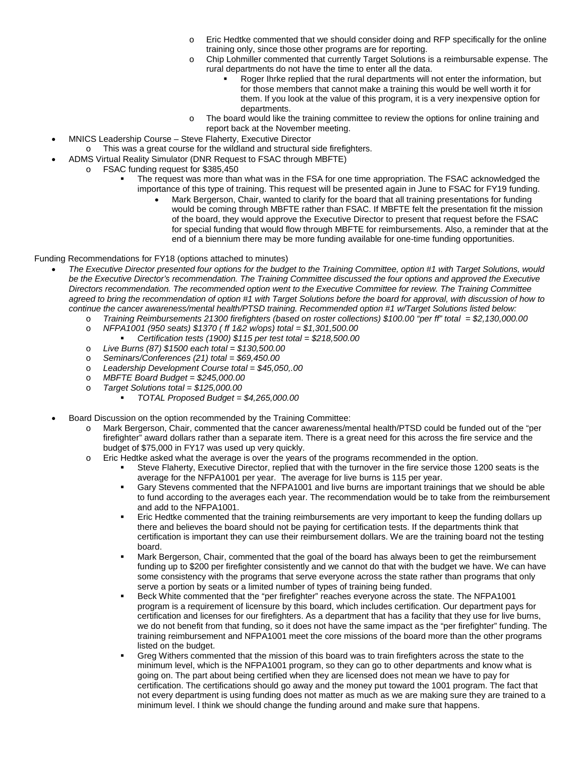- Eric Hedtke commented that we should consider doing and RFP specifically for the online training only, since those other programs are for reporting.
- o Chip Lohmiller commented that currently Target Solutions is a reimbursable expense. The rural departments do not have the time to enter all the data.
	- Roger Ihrke replied that the rural departments will not enter the information, but for those members that cannot make a training this would be well worth it for them. If you look at the value of this program, it is a very inexpensive option for departments.
	- o The board would like the training committee to review the options for online training and report back at the November meeting.
- MNICS Leadership Course Steve Flaherty, Executive Director
	- o This was a great course for the wildland and structural side firefighters.
- ADMS Virtual Reality Simulator (DNR Request to FSAC through MBFTE)
- o FSAC funding request for \$385,450
	- The request was more than what was in the FSA for one time appropriation. The FSAC acknowledged the importance of this type of training. This request will be presented again in June to FSAC for FY19 funding.
		- Mark Bergerson, Chair, wanted to clarify for the board that all training presentations for funding would be coming through MBFTE rather than FSAC. If MBFTE felt the presentation fit the mission of the board, they would approve the Executive Director to present that request before the FSAC for special funding that would flow through MBFTE for reimbursements. Also, a reminder that at the end of a biennium there may be more funding available for one-time funding opportunities.

#### Funding Recommendations for FY18 (options attached to minutes)

- *The Executive Director presented four options for the budget to the Training Committee, option #1 with Target Solutions, would*  be the Executive Director's recommendation. The Training Committee discussed the four options and approved the Executive *Directors recommendation. The recommended option went to the Executive Committee for review. The Training Committee agreed to bring the recommendation of option #1 with Target Solutions before the board for approval, with discussion of how to continue the cancer awareness/mental health/PTSD training. Recommended option #1 w/Target Solutions listed below:*
	- o *Training Reimbursements 21300 firefighters (based on roster collections) \$100.00 "per ff" total = \$2,130,000.00*
	- o *NFPA1001 (950 seats) \$1370 ( ff 1&2 w/ops) total = \$1,301,500.00*
		- *Certification tests (1900) \$115 per test total = \$218,500.00*
	- o *Live Burns (87) \$1500 each total = \$130,500.00*
	- o *Seminars/Conferences (21) total = \$69,450.00*
	- o *Leadership Development Course total = \$45,050,.00*
	- o *MBFTE Board Budget = \$245,000.00*
	- o *Target Solutions total = \$125,000.00*
		- *TOTAL Proposed Budget = \$4,265,000.00*
- Board Discussion on the option recommended by the Training Committee:
	- Mark Bergerson, Chair, commented that the cancer awareness/mental health/PTSD could be funded out of the "per firefighter" award dollars rather than a separate item. There is a great need for this across the fire service and the budget of \$75,000 in FY17 was used up very quickly.
	- o Eric Hedtke asked what the average is over the years of the programs recommended in the option.
		- Steve Flaherty, Executive Director, replied that with the turnover in the fire service those 1200 seats is the average for the NFPA1001 per year. The average for live burns is 115 per year.
		- Gary Stevens commented that the NFPA1001 and live burns are important trainings that we should be able to fund according to the averages each year. The recommendation would be to take from the reimbursement and add to the NFPA1001.
		- Eric Hedtke commented that the training reimbursements are very important to keep the funding dollars up there and believes the board should not be paying for certification tests. If the departments think that certification is important they can use their reimbursement dollars. We are the training board not the testing board.
		- **Mark Bergerson, Chair, commented that the goal of the board has always been to get the reimbursement** funding up to \$200 per firefighter consistently and we cannot do that with the budget we have. We can have some consistency with the programs that serve everyone across the state rather than programs that only serve a portion by seats or a limited number of types of training being funded.
		- Beck White commented that the "per firefighter" reaches everyone across the state. The NFPA1001 program is a requirement of licensure by this board, which includes certification. Our department pays for certification and licenses for our firefighters. As a department that has a facility that they use for live burns, we do not benefit from that funding, so it does not have the same impact as the "per firefighter" funding. The training reimbursement and NFPA1001 meet the core missions of the board more than the other programs listed on the budget.
		- Greg Withers commented that the mission of this board was to train firefighters across the state to the minimum level, which is the NFPA1001 program, so they can go to other departments and know what is going on. The part about being certified when they are licensed does not mean we have to pay for certification. The certifications should go away and the money put toward the 1001 program. The fact that not every department is using funding does not matter as much as we are making sure they are trained to a minimum level. I think we should change the funding around and make sure that happens.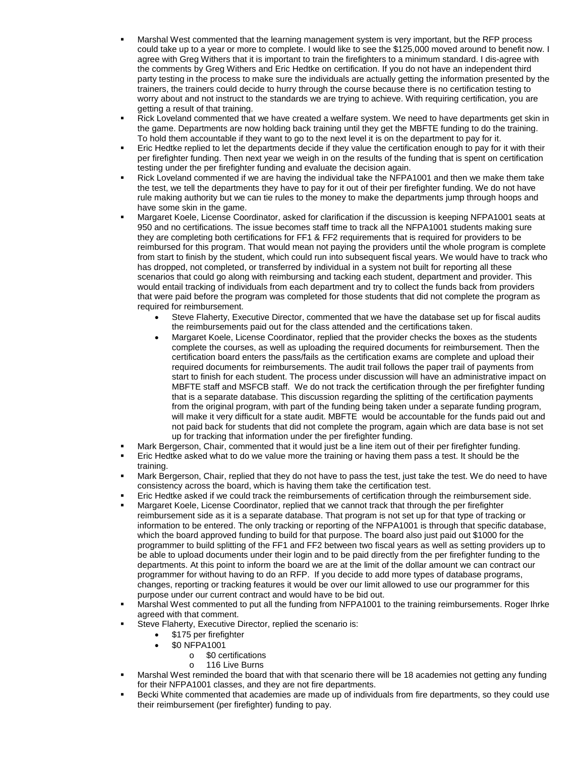- Marshal West commented that the learning management system is very important, but the RFP process could take up to a year or more to complete. I would like to see the \$125,000 moved around to benefit now. I agree with Greg Withers that it is important to train the firefighters to a minimum standard. I dis-agree with the comments by Greg Withers and Eric Hedtke on certification. If you do not have an independent third party testing in the process to make sure the individuals are actually getting the information presented by the trainers, the trainers could decide to hurry through the course because there is no certification testing to worry about and not instruct to the standards we are trying to achieve. With requiring certification, you are getting a result of that training.
- Rick Loveland commented that we have created a welfare system. We need to have departments get skin in the game. Departments are now holding back training until they get the MBFTE funding to do the training. To hold them accountable if they want to go to the next level it is on the department to pay for it.
- Eric Hedtke replied to let the departments decide if they value the certification enough to pay for it with their per firefighter funding. Then next year we weigh in on the results of the funding that is spent on certification testing under the per firefighter funding and evaluate the decision again.
- Rick Loveland commented if we are having the individual take the NFPA1001 and then we make them take the test, we tell the departments they have to pay for it out of their per firefighter funding. We do not have rule making authority but we can tie rules to the money to make the departments jump through hoops and have some skin in the game.
- Margaret Koele, License Coordinator, asked for clarification if the discussion is keeping NFPA1001 seats at 950 and no certifications. The issue becomes staff time to track all the NFPA1001 students making sure they are completing both certifications for FF1 & FF2 requirements that is required for providers to be reimbursed for this program. That would mean not paying the providers until the whole program is complete from start to finish by the student, which could run into subsequent fiscal years. We would have to track who has dropped, not completed, or transferred by individual in a system not built for reporting all these scenarios that could go along with reimbursing and tacking each student, department and provider. This would entail tracking of individuals from each department and try to collect the funds back from providers that were paid before the program was completed for those students that did not complete the program as required for reimbursement.
	- Steve Flaherty, Executive Director, commented that we have the database set up for fiscal audits the reimbursements paid out for the class attended and the certifications taken.
	- Margaret Koele, License Coordinator, replied that the provider checks the boxes as the students complete the courses, as well as uploading the required documents for reimbursement. Then the certification board enters the pass/fails as the certification exams are complete and upload their required documents for reimbursements. The audit trail follows the paper trail of payments from start to finish for each student. The process under discussion will have an administrative impact on MBFTE staff and MSFCB staff. We do not track the certification through the per firefighter funding that is a separate database. This discussion regarding the splitting of the certification payments from the original program, with part of the funding being taken under a separate funding program, will make it very difficult for a state audit. MBFTE would be accountable for the funds paid out and not paid back for students that did not complete the program, again which are data base is not set up for tracking that information under the per firefighter funding.
- Mark Bergerson, Chair, commented that it would just be a line item out of their per firefighter funding.
- Eric Hedtke asked what to do we value more the training or having them pass a test. It should be the training.
- Mark Bergerson, Chair, replied that they do not have to pass the test, just take the test. We do need to have consistency across the board, which is having them take the certification test.
- Eric Hedtke asked if we could track the reimbursements of certification through the reimbursement side.
- Margaret Koele, License Coordinator, replied that we cannot track that through the per firefighter reimbursement side as it is a separate database. That program is not set up for that type of tracking or information to be entered. The only tracking or reporting of the NFPA1001 is through that specific database, which the board approved funding to build for that purpose. The board also just paid out \$1000 for the programmer to build splitting of the FF1 and FF2 between two fiscal years as well as setting providers up to be able to upload documents under their login and to be paid directly from the per firefighter funding to the departments. At this point to inform the board we are at the limit of the dollar amount we can contract our programmer for without having to do an RFP. If you decide to add more types of database programs, changes, reporting or tracking features it would be over our limit allowed to use our programmer for this purpose under our current contract and would have to be bid out.
- Marshal West commented to put all the funding from NFPA1001 to the training reimbursements. Roger Ihrke agreed with that comment.
- Steve Flaherty, Executive Director, replied the scenario is:
	- \$175 per firefighter
		- \$0 NFPA1001
			- o \$0 certifications
			- o 116 Live Burns
- Marshal West reminded the board that with that scenario there will be 18 academies not getting any funding for their NFPA1001 classes, and they are not fire departments.
- Becki White commented that academies are made up of individuals from fire departments, so they could use their reimbursement (per firefighter) funding to pay.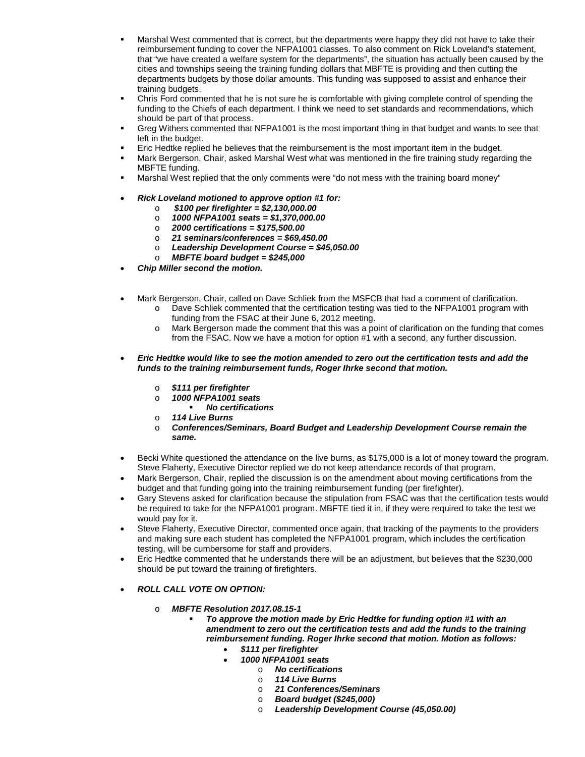- Marshal West commented that is correct, but the departments were happy they did not have to take their reimbursement funding to cover the NFPA1001 classes. To also comment on Rick Loveland's statement, that "we have created a welfare system for the departments", the situation has actually been caused by the cities and townships seeing the training funding dollars that MBFTE is providing and then cutting the departments budgets by those dollar amounts. This funding was supposed to assist and enhance their training budgets.
- Chris Ford commented that he is not sure he is comfortable with giving complete control of spending the funding to the Chiefs of each department. I think we need to set standards and recommendations, which should be part of that process.
- Greg Withers commented that NFPA1001 is the most important thing in that budget and wants to see that left in the budget.
- Eric Hedtke replied he believes that the reimbursement is the most important item in the budget.
- Mark Bergerson, Chair, asked Marshal West what was mentioned in the fire training study regarding the MBFTE funding.
- Marshal West replied that the only comments were "do not mess with the training board money"
- *Rick Loveland motioned to approve option #1 for:*
	- o *\$100 per firefighter = \$2,130,000.00*
	- o *1000 NFPA1001 seats = \$1,370,000.00*
	- o *2000 certifications = \$175,500.00*
	- o *21 seminars/conferences = \$69,450.00*
	- o *Leadership Development Course = \$45,050.00*
	- o *MBFTE board budget = \$245,000*
- *Chip Miller second the motion.*
- Mark Bergerson, Chair, called on Dave Schliek from the MSFCB that had a comment of clarification.
	- Dave Schliek commented that the certification testing was tied to the NFPA1001 program with funding from the FSAC at their June 6, 2012 meeting.
	- o Mark Bergerson made the comment that this was a point of clarification on the funding that comes from the FSAC. Now we have a motion for option #1 with a second, any further discussion.
- *Eric Hedtke would like to see the motion amended to zero out the certification tests and add the funds to the training reimbursement funds, Roger Ihrke second that motion.* 
	- o *\$111 per firefighter*
	- o *1000 NFPA1001 seats*
	- *No certifications*
	- o *114 Live Burns*
	- o *Conferences/Seminars, Board Budget and Leadership Development Course remain the same.*
- Becki White questioned the attendance on the live burns, as \$175,000 is a lot of money toward the program. Steve Flaherty, Executive Director replied we do not keep attendance records of that program.
- Mark Bergerson, Chair, replied the discussion is on the amendment about moving certifications from the budget and that funding going into the training reimbursement funding (per firefighter).
- Gary Stevens asked for clarification because the stipulation from FSAC was that the certification tests would be required to take for the NFPA1001 program. MBFTE tied it in, if they were required to take the test we would pay for it.
- Steve Flaherty, Executive Director, commented once again, that tracking of the payments to the providers and making sure each student has completed the NFPA1001 program, which includes the certification testing, will be cumbersome for staff and providers.
- Eric Hedtke commented that he understands there will be an adjustment, but believes that the \$230,000 should be put toward the training of firefighters.
- *ROLL CALL VOTE ON OPTION:*
	- o *MBFTE Resolution 2017.08.15-1* 
		- *To approve the motion made by Eric Hedtke for funding option #1 with an amendment to zero out the certification tests and add the funds to the training reimbursement funding. Roger Ihrke second that motion. Motion as follows:*
			- *\$111 per firefighter*
				- *1000 NFPA1001 seats*
					- o *No certifications*
						- o *114 Live Burns*
						- o *21 Conferences/Seminars*
						- o *Board budget (\$245,000)*
						- o *Leadership Development Course (45,050.00)*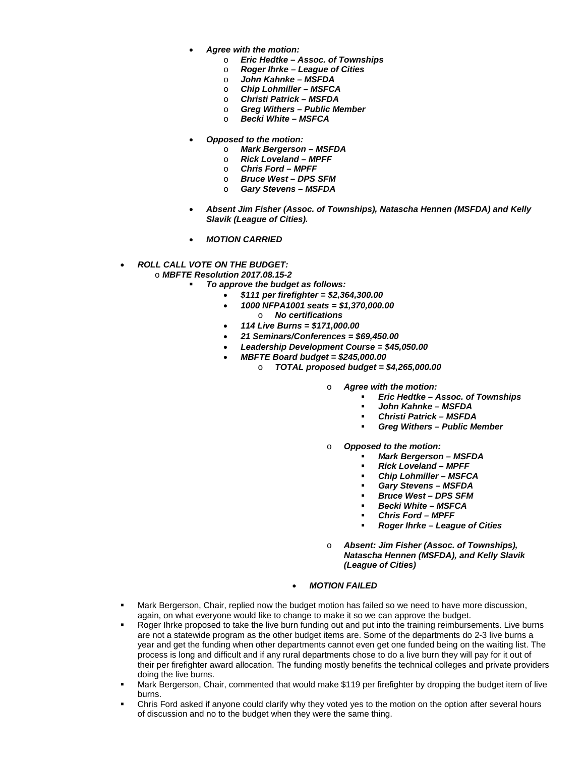- *Agree with the motion:*
	- o *Eric Hedtke – Assoc. of Townships*
	- o *Roger Ihrke – League of Cities*
	- o *John Kahnke – MSFDA*
	- o *Chip Lohmiller – MSFCA*
	- o *Christi Patrick – MSFDA*
	- o *Greg Withers – Public Member*
	- o *Becki White – MSFCA*
- *Opposed to the motion:*
	- o *Mark Bergerson – MSFDA*
	- o *Rick Loveland – MPFF*
	- o *Chris Ford – MPFF*
	- o *Bruce West – DPS SFM*
	- o *Gary Stevens – MSFDA*
- *Absent Jim Fisher (Assoc. of Townships), Natascha Hennen (MSFDA) and Kelly Slavik (League of Cities).*
- *MOTION CARRIED*

#### • *ROLL CALL VOTE ON THE BUDGET:*

o *MBFTE Resolution 2017.08.15-2*

- *To approve the budget as follows:*
	- *\$111 per firefighter = \$2,364,300.00*
	- *1000 NFPA1001 seats = \$1,370,000.00* o *No certifications*
	- *114 Live Burns = \$171,000.00*
	- *21 Seminars/Conferences = \$69,450.00*
		- *Leadership Development Course = \$45,050.00*
	- *MBFTE Board budget = \$245,000.00*
		- o *TOTAL proposed budget = \$4,265,000.00*
			- o *Agree with the motion:*
				- *Eric Hedtke – Assoc. of Townships*
				- *John Kahnke – MSFDA*
				- *Christi Patrick – MSFDA*
				- *Greg Withers – Public Member*
			- o *Opposed to the motion:*
				- *Mark Bergerson – MSFDA*
				- *Rick Loveland – MPFF*
				- *Chip Lohmiller – MSFCA*
				- *Gary Stevens – MSFDA*
				- *Bruce West – DPS SFM*
				- *Becki White – MSFCA*
				- *Chris Ford – MPFF*
				- *Roger Ihrke – League of Cities*
			- o *Absent: Jim Fisher (Assoc. of Townships), Natascha Hennen (MSFDA), and Kelly Slavik (League of Cities)*

#### • *MOTION FAILED*

- Mark Bergerson, Chair, replied now the budget motion has failed so we need to have more discussion, again, on what everyone would like to change to make it so we can approve the budget.
- Roger Ihrke proposed to take the live burn funding out and put into the training reimbursements. Live burns are not a statewide program as the other budget items are. Some of the departments do 2-3 live burns a year and get the funding when other departments cannot even get one funded being on the waiting list. The process is long and difficult and if any rural departments chose to do a live burn they will pay for it out of their per firefighter award allocation. The funding mostly benefits the technical colleges and private providers doing the live burns.
- Mark Bergerson, Chair, commented that would make \$119 per firefighter by dropping the budget item of live burns.
- Chris Ford asked if anyone could clarify why they voted yes to the motion on the option after several hours of discussion and no to the budget when they were the same thing.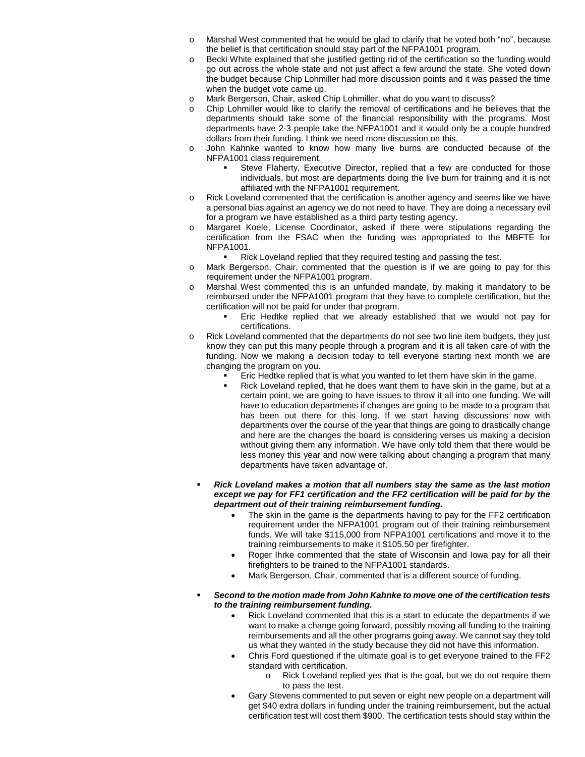- Marshal West commented that he would be glad to clarify that he voted both "no", because the belief is that certification should stay part of the NFPA1001 program.
- o Becki White explained that she justified getting rid of the certification so the funding would go out across the whole state and not just affect a few around the state. She voted down the budget because Chip Lohmiller had more discussion points and it was passed the time when the budget vote came up.
- o Mark Bergerson, Chair, asked Chip Lohmiller, what do you want to discuss?
- Chip Lohmiller would like to clarify the removal of certifications and he believes that the departments should take some of the financial responsibility with the programs. Most departments have 2-3 people take the NFPA1001 and it would only be a couple hundred dollars from their funding. I think we need more discussion on this.
- John Kahnke wanted to know how many live burns are conducted because of the NFPA1001 class requirement.
	- Steve Flaherty, Executive Director, replied that a few are conducted for those individuals, but most are departments doing the live burn for training and it is not affiliated with the NFPA1001 requirement.
- o Rick Loveland commented that the certification is another agency and seems like we have a personal bias against an agency we do not need to have. They are doing a necessary evil for a program we have established as a third party testing agency.
- o Margaret Koele, License Coordinator, asked if there were stipulations regarding the certification from the FSAC when the funding was appropriated to the MBFTE for NFPA1001.
	- Rick Loveland replied that they required testing and passing the test.
- o Mark Bergerson, Chair, commented that the question is if we are going to pay for this requirement under the NFPA1001 program.
- Marshal West commented this is an unfunded mandate, by making it mandatory to be reimbursed under the NFPA1001 program that they have to complete certification, but the certification will not be paid for under that program.
	- Eric Hedtke replied that we already established that we would not pay for certifications.
- o Rick Loveland commented that the departments do not see two line item budgets, they just know they can put this many people through a program and it is all taken care of with the funding. Now we making a decision today to tell everyone starting next month we are changing the program on you.
	- Eric Hedtke replied that is what you wanted to let them have skin in the game.
	- Rick Loveland replied, that he does want them to have skin in the game, but at a certain point, we are going to have issues to throw it all into one funding. We will have to education departments if changes are going to be made to a program that has been out there for this long. If we start having discussions now with departments over the course of the year that things are going to drastically change and here are the changes the board is considering verses us making a decision without giving them any information. We have only told them that there would be less money this year and now were talking about changing a program that many departments have taken advantage of.
- *Rick Loveland makes a motion that all numbers stay the same as the last motion except we pay for FF1 certification and the FF2 certification will be paid for by the department out of their training reimbursement funding.* 
	- The skin in the game is the departments having to pay for the FF2 certification requirement under the NFPA1001 program out of their training reimbursement funds. We will take \$115,000 from NFPA1001 certifications and move it to the training reimbursements to make it \$105.50 per firefighter.
	- Roger Ihrke commented that the state of Wisconsin and Iowa pay for all their firefighters to be trained to the NFPA1001 standards.
	- Mark Bergerson, Chair, commented that is a different source of funding.
- *Second to the motion made from John Kahnke to move one of the certification tests to the training reimbursement funding.*
	- Rick Loveland commented that this is a start to educate the departments if we want to make a change going forward, possibly moving all funding to the training reimbursements and all the other programs going away. We cannot say they told us what they wanted in the study because they did not have this information.
	- Chris Ford questioned if the ultimate goal is to get everyone trained to the FF2 standard with certification.
		- o Rick Loveland replied yes that is the goal, but we do not require them to pass the test.
	- Gary Stevens commented to put seven or eight new people on a department will get \$40 extra dollars in funding under the training reimbursement, but the actual certification test will cost them \$900. The certification tests should stay within the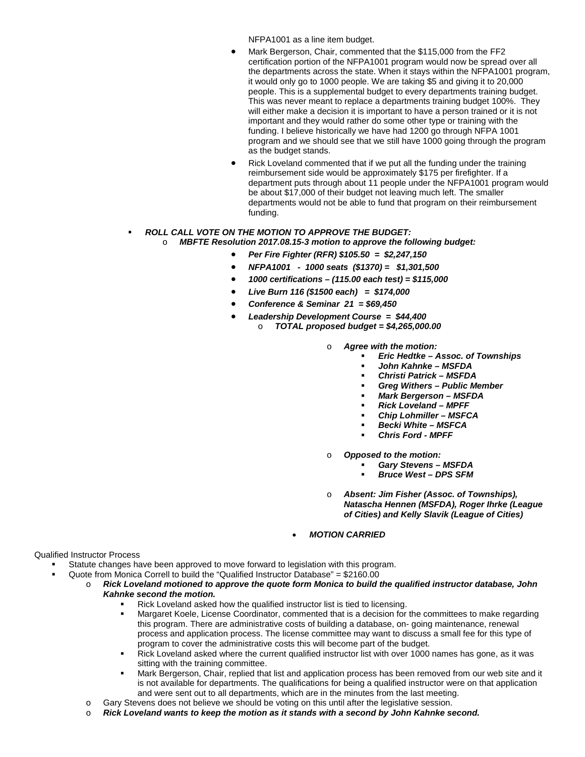NFPA1001 as a line item budget.

- Mark Bergerson, Chair, commented that the \$115,000 from the FF2 certification portion of the NFPA1001 program would now be spread over all the departments across the state. When it stays within the NFPA1001 program, it would only go to 1000 people. We are taking \$5 and giving it to 20,000 people. This is a supplemental budget to every departments training budget. This was never meant to replace a departments training budget 100%. They will either make a decision it is important to have a person trained or it is not important and they would rather do some other type or training with the funding. I believe historically we have had 1200 go through NFPA 1001 program and we should see that we still have 1000 going through the program as the budget stands.
- Rick Loveland commented that if we put all the funding under the training reimbursement side would be approximately \$175 per firefighter. If a department puts through about 11 people under the NFPA1001 program would be about \$17,000 of their budget not leaving much left. The smaller departments would not be able to fund that program on their reimbursement funding.

#### *ROLL CALL VOTE ON THE MOTION TO APPROVE THE BUDGET:*

#### o *MBFTE Resolution 2017.08.15-3 motion to approve the following budget:*

- *Per Fire Fighter (RFR) \$105.50 = \$2,247,150*
- *NFPA1001 1000 seats (\$1370) = \$1,301,500*
- *1000 certifications – (115.00 each test) = \$115,000*
- *Live Burn 116 (\$1500 each) = \$174,000*
- *Conference & Seminar 21 = \$69,450*
- *Leadership Development Course = \$44,400* 
	- o *TOTAL proposed budget = \$4,265,000.00*
		- o *Agree with the motion:*
			- *Eric Hedtke – Assoc. of Townships*
			- *John Kahnke – MSFDA*
			- *Christi Patrick – MSFDA*
			- *Greg Withers – Public Member*
			- *Mark Bergerson – MSFDA*
			- *Rick Loveland – MPFF*
			- *Chip Lohmiller – MSFCA*
			- *Becki White – MSFCA*
			- *Chris Ford - MPFF*
		- o *Opposed to the motion:*
			- *Gary Stevens – MSFDA*
			- *Bruce West – DPS SFM*
		- o *Absent: Jim Fisher (Assoc. of Townships), Natascha Hennen (MSFDA), Roger Ihrke (League of Cities) and Kelly Slavik (League of Cities)*
		- *MOTION CARRIED*

#### Qualified Instructor Process

- Statute changes have been approved to move forward to legislation with this program.
- Quote from Monica Correll to build the "Qualified Instructor Database" = \$2160.00
	- o *Rick Loveland motioned to approve the quote form Monica to build the qualified instructor database, John Kahnke second the motion.*
		- Rick Loveland asked how the qualified instructor list is tied to licensing.
		- Margaret Koele, License Coordinator, commented that is a decision for the committees to make regarding this program. There are administrative costs of building a database, on- going maintenance, renewal process and application process. The license committee may want to discuss a small fee for this type of program to cover the administrative costs this will become part of the budget.
		- Rick Loveland asked where the current qualified instructor list with over 1000 names has gone, as it was sitting with the training committee.
		- Mark Bergerson, Chair, replied that list and application process has been removed from our web site and it is not available for departments. The qualifications for being a qualified instructor were on that application and were sent out to all departments, which are in the minutes from the last meeting.
	- o Gary Stevens does not believe we should be voting on this until after the legislative session.
	- o *Rick Loveland wants to keep the motion as it stands with a second by John Kahnke second.*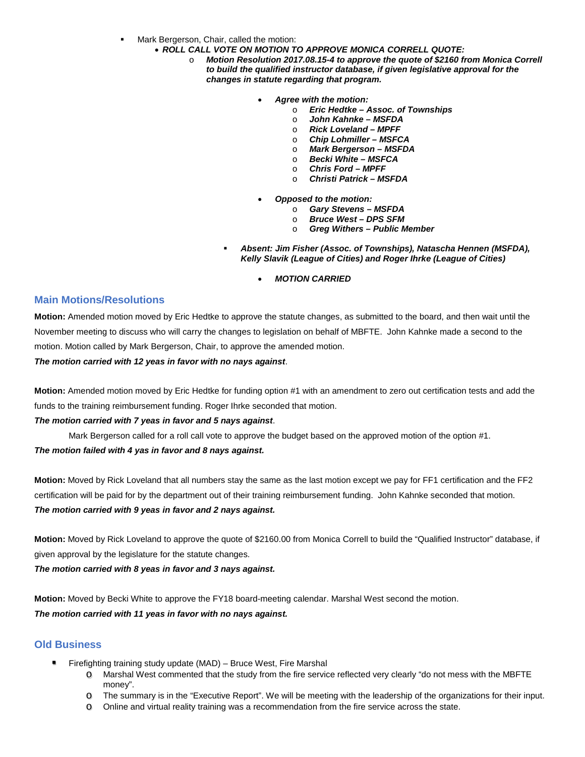- Mark Bergerson, Chair, called the motion:
	- *ROLL CALL VOTE ON MOTION TO APPROVE MONICA CORRELL QUOTE:*
		- Motion Resolution 2017.08.15-4 to approve the quote of \$2160 from Monica Correll *to build the qualified instructor database, if given legislative approval for the changes in statute regarding that program.*
			- *Agree with the motion:*
				- o *Eric Hedtke – Assoc. of Townships*
				- o *John Kahnke – MSFDA*
				- o *Rick Loveland – MPFF*
				- o *Chip Lohmiller – MSFCA*
				- o *Mark Bergerson – MSFDA*
				- o *Becki White – MSFCA*
				- o *Chris Ford – MPFF*
				- o *Christi Patrick – MSFDA*
			- *Opposed to the motion:*
				- o *Gary Stevens – MSFDA*
				- o *Bruce West – DPS SFM*
				- o *Greg Withers – Public Member*
			- *Absent: Jim Fisher (Assoc. of Townships), Natascha Hennen (MSFDA), Kelly Slavik (League of Cities) and Roger Ihrke (League of Cities)*
				- *MOTION CARRIED*

#### **Main Motions/Resolutions**

**Motion:** Amended motion moved by Eric Hedtke to approve the statute changes, as submitted to the board, and then wait until the November meeting to discuss who will carry the changes to legislation on behalf of MBFTE. John Kahnke made a second to the motion. Motion called by Mark Bergerson, Chair, to approve the amended motion.

*The motion carried with 12 yeas in favor with no nays against*.

**Motion:** Amended motion moved by Eric Hedtke for funding option #1 with an amendment to zero out certification tests and add the funds to the training reimbursement funding. Roger Ihrke seconded that motion.

#### *The motion carried with 7 yeas in favor and 5 nays against*.

Mark Bergerson called for a roll call vote to approve the budget based on the approved motion of the option #1.

#### *The motion failed with 4 yas in favor and 8 nays against.*

**Motion:** Moved by Rick Loveland that all numbers stay the same as the last motion except we pay for FF1 certification and the FF2 certification will be paid for by the department out of their training reimbursement funding. John Kahnke seconded that motion. *The motion carried with 9 yeas in favor and 2 nays against.*

**Motion:** Moved by Rick Loveland to approve the quote of \$2160.00 from Monica Correll to build the "Qualified Instructor" database, if given approval by the legislature for the statute changes.

*The motion carried with 8 yeas in favor and 3 nays against.*

**Motion:** Moved by Becki White to approve the FY18 board-meeting calendar. Marshal West second the motion. *The motion carried with 11 yeas in favor with no nays against.*

## **Old Business**

- Firefighting training study update (MAD) Bruce West, Fire Marshal
	- o Marshal West commented that the study from the fire service reflected very clearly "do not mess with the MBFTE money".
	- o The summary is in the "Executive Report". We will be meeting with the leadership of the organizations for their input.
	- o Online and virtual reality training was a recommendation from the fire service across the state.